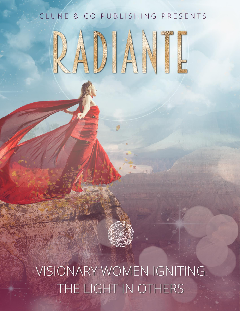# CLUNE & CO PUBLISHING PRESENTS

VISIONARY WOMEN IGNITING THE LIGHT IN OTHERS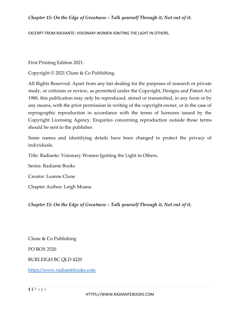EXCERPT FROM RADIANTE: VISIONARY WOMEN IGNITING THE LIGHT IN OTHERS.

First Printing Edition 2021.

Copyright © 2021 Clune & Co Publishing.

All Rights Reserved. Apart from any fair dealing for the purposes of research or private study, or criticism or review, as permitted under the Copyright, Designs and Patent Act 1988, this publication may only be reproduced, stored or transmitted, in any form or by any means, with the prior permission in writing of the copyright owner, or in the case of reprographic reproduction in accordance with the terms of licencees issued by the Copyright Licensing Agency. Enquiries concerning reproduction outside those terms should be sent to the publisher.

Some names and identifying details have been changed to protect the privacy of individuals.

Title: Radiante: Visionary Women Igniting the Light in Others.

Series: Radiante Books

Creator: Leanne Clune

Chapter Author: Leigh Moana

*Chapter 15: On the Edge of Greatness – Talk yourself Through it, Not out of it.*

Clune & Co Publishing

PO BOX 2520

BURLEIGH BC QLD 4220

[https://www.radiantebooks.com](https://www.radiantebooks.com/)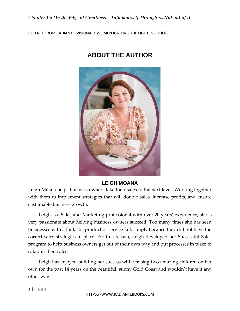EXCERPT FROM RADIANTE: VISIONARY WOMEN IGNITING THE LIGHT IN OTHERS.



# **ABOUT THE AUTHOR**

### **LEIGH MOANA**

Leigh Moana helps business owners take their sales to the next level. Working together with them to implement strategies that will double sales, increase profits, and ensure sustainable business growth.

Leigh is a Sales and Marketing professional with over 20 years' experience, she is very passionate about helping business owners succeed. Too many times she has seen businesses with a fantastic product or service fail, simply because they did not have the correct sales strategies in place. For this reason, Leigh developed her Successful Sales program to help business owners get out of their own way and put processes in place to catapult their sales.

Leigh has enjoyed building her success while raising two amazing children on her own for the past 14 years on the beautiful, sunny Gold Coast and wouldn't have it any other way!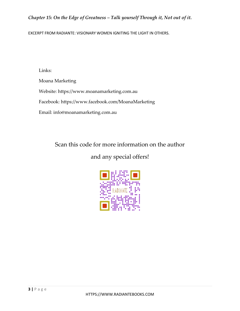EXCERPT FROM RADIANTE: VISIONARY WOMEN IGNITING THE LIGHT IN OTHERS.

Links:

Moana Marketing

Website: https:/[/www.moanamarketing.com.au](http://www.moanamarketing.com.au/)

Facebook:<https://www.facebook.com/MoanaMarketing>

Email: [info@moanamarketing.com.au](mailto:info@moanamarketing.com.au)

Scan this code for more information on the author

and any special offers!

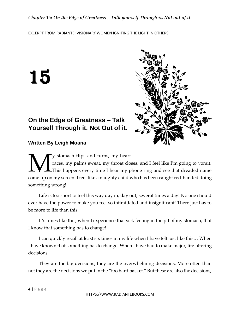EXCERPT FROM RADIANTE: VISIONARY WOMEN IGNITING THE LIGHT IN OTHERS.

15



## **On the Edge of Greatness – Talk Yourself Through it, Not Out of it.**

**Written By Leigh Moana**

y stomach flips and turns, my heart races, my palms sweat, my throat closes, and I feel like I'm going to vomit. This happens every time I hear my phone ring and see that dreaded name We stomach flips and turns, my heart<br>
This happens sweat, my throat closes, and I feel like I'm going to vomit.<br>
Come up on my screen. I feel like a naughty child who has been caught red-handed doing something wrong!

Life is too short to feel this way day in, day out, several times a day! No one should ever have the power to make you feel so intimidated and insignificant! There just has to be more to life than this.

It's times like this, when I experience that sick feeling in the pit of my stomach, that I know that something has to change!

I can quickly recall at least six times in my life when I have felt just like this… When I have known that something has to change. When I have had to make major, life-altering decisions.

They are the big decisions; they are the overwhelming decisions. More often than not they are the decisions we put in the "too hard basket." But these are also the decisions,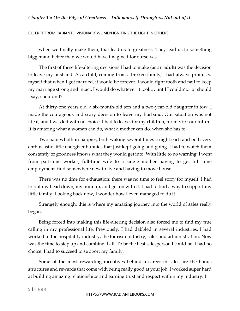EXCERPT FROM RADIANTE: VISIONARY WOMEN IGNITING THE LIGHT IN OTHERS.

when we finally make them, that lead us to greatness. They lead us to something bigger and better than we would have imagined for ourselves.

The first of these life-altering decisions I had to make (as an adult) was the decision to leave my husband. As a child, coming from a broken family, I had always promised myself that when I got married, it would be forever. I would fight tooth and nail to keep my marriage strong and intact. I would do whatever it took… until I couldn't... or should I say, shouldn't?!

At thirty-one years old, a six-month-old son and a two-year-old daughter in tow, I made the courageous and scary decision to leave my husband. Our situation was not ideal, and I was left with no choice. I had to leave, for my children, for me, for our future. It is amazing what a woman can do, what a mother can do, when she has to!

Two babies both in nappies, both waking several times a night each and both very enthusiastic little energizer bunnies that just kept going and going. I had to watch them constantly or goodness knows what they would get into! With little to no warning, I went from part-time worker, full-time wife to a single mother having to get full time employment, find somewhere new to live and having to move house.

There was no time for exhaustion; there was no time to feel sorry for myself. I had to put my head down, my bum up, and get on with it. I had to find a way to support my little family. Looking back now, I wonder how I even managed to do it.

Strangely enough, this is where my amazing journey into the world of sales really began.

Being forced into making this life-altering decision also forced me to find my true calling in my professional life. Previously, I had dabbled in several industries. I had worked in the hospitality industry, the tourism industry, sales and administration. Now was the time to step up and combine it all. To be the best salesperson I could be. I had no choice. I had to succeed to support my family.

Some of the most rewarding incentives behind a career in sales are the bonus structures and rewards that come with being really good at your job. I worked super hard at building amazing relationships and earning trust and respect within my industry. I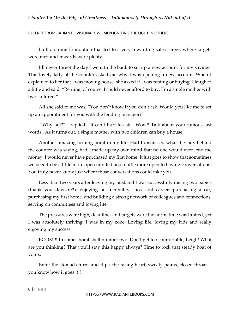EXCERPT FROM RADIANTE: VISIONARY WOMEN IGNITING THE LIGHT IN OTHERS.

built a strong foundation that led to a very rewarding sales career, where targets were met, and rewards were plenty.

I'll never forget the day I went to the bank to set up a new account for my savings. This lovely lady at the counter asked me why I was opening a new account. When I explained to her that I was moving house, she asked if I was renting or buying. I laughed a little and said, "Renting, of course. I could never afford to buy. I'm a single mother with two children."

All she said to me was, "You don't know if you don't ask. Would you like me to set up an appointment for you with the lending manager?"

"Why not?" I replied. "it can't hurt to ask." Wow!! Talk about your famous last words.. As it turns out, a single mother with two children can buy a house.

Another amazing turning point in my life! Had I dismissed what the lady behind the counter was saying, had I made up my own mind that no one would ever lend me money, I would never have purchased my first home. It just goes to show that sometimes we need to be a little more open minded and a little more open to having conversations. You truly never know just where those conversations could take you.

Less than two years after leaving my husband I was successfully raising two babies (thank you daycare!!), enjoying an incredibly successful career, purchasing a car, purchasing my first home, and building a strong network of colleagues and connections, serving on committees and loving life!

The pressures were high, deadlines and targets were the norm, time was limited, yet I was absolutely thriving. I was in my zone! Loving life, loving my kids and really enjoying my success.

BOOM!!! In comes bombshell number two! Don't get too comfortable, Leigh! What are you thinking? That you'll stay this happy always? Time to rock that steady boat of yours.

Enter the stomach turns and flips, the racing heart, sweaty palms, closed throat… you know how it goes :)!!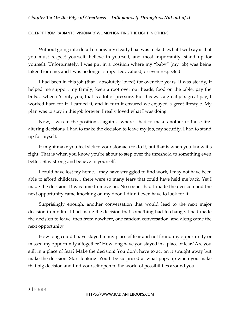EXCERPT FROM RADIANTE: VISIONARY WOMEN IGNITING THE LIGHT IN OTHERS.

Without going into detail on how my steady boat was rocked...what I will say is that you must respect yourself, believe in yourself, and most importantly, stand up for yourself. Unfortunately, I was put in a position where my "baby" (my job) was being taken from me, and I was no longer supported, valued, or even respected.

I had been in this job (that I absolutely loved) for over five years. It was steady, it helped me support my family, keep a roof over our heads, food on the table, pay the bills... when it's only you, that is a lot of pressure. But this was a great job, great pay, I worked hard for it, I earned it, and in turn it ensured we enjoyed a great lifestyle. My plan was to stay in this job forever. I really loved what I was doing.

Now, I was in the position… again… where I had to make another of those lifealtering decisions. I had to make the decision to leave my job, my security. I had to stand up for myself.

It might make you feel sick to your stomach to do it, but that is when you know it's right. That is when you know you're about to step over the threshold to something even better. Stay strong and believe in yourself.

I could have lost my home, I may have struggled to find work, I may not have been able to afford childcare… there were so many fears that could have held me back. Yet I made the decision. It was time to move on. No sooner had I made the decision and the next opportunity came knocking on my door. I didn't even have to look for it.

Surprisingly enough, another conversation that would lead to the next major decision in my life. I had made the decision that something had to change. I had made the decision to leave, then from nowhere, one random conversation, and along came the next opportunity.

How long could I have stayed in my place of fear and not found my opportunity or missed my opportunity altogether? How long have you stayed in a place of fear? Are you still in a place of fear? Make the decision! You don't have to act on it straight away but make the decision. Start looking. You'll be surprised at what pops up when you make that big decision and find yourself open to the world of possibilities around you.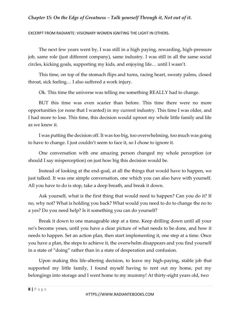EXCERPT FROM RADIANTE: VISIONARY WOMEN IGNITING THE LIGHT IN OTHERS.

The next few years went by, I was still in a high paying, rewarding, high-pressure job, same role (just different company), same industry. I was still in all the same social circles, kicking goals, supporting my kids, and enjoying life… until I wasn't.

This time, on top of the stomach flips and turns, racing heart, sweaty palms, closed throat, sick feeling… I also suffered a work injury.

Ok. This time the universe was telling me something REALLY had to change.

BUT this time was even scarier than before. This time there were no more opportunities (or none that I wanted) in my current industry. This time I was older, and I had more to lose. This time, this decision would uproot my whole little family and life as we knew it.

I was putting the decision off. It was too big, too overwhelming, too much was going to have to change. I just couldn't seem to face it, so I chose to ignore it.

One conversation with one amazing person changed my whole perception (or should I say misperception) on just how big this decision would be.

Instead of looking at the end-goal, at all the things that would have to happen, we just talked. It was one simple conversation, one which you can also have with yourself. All you have to do is stop, take a deep breath, and break it down.

Ask yourself, what is the first thing that would need to happen? Can you do it? If no, why not? What is holding you back? What would you need to do to change the no to a yes? Do you need help? Is it something you can do yourself?

Break it down to one manageable step at a time. Keep drilling down until all your no's become yeses, until you have a clear picture of what needs to be done, and how it needs to happen. Set an action plan, then start implementing it, one step at a time. Once you have a plan, the steps to achieve it, the overwhelm disappears and you find yourself in a state of "doing" rather than in a state of desperation and confusion.

Upon making this life-altering decision, to leave my high-paying, stable job that supported my little family, I found myself having to rent out my home, put my belongings into storage and I went home to my mummy! At thirty-eight years old, two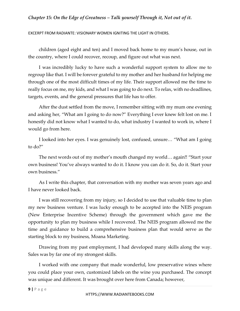EXCERPT FROM RADIANTE: VISIONARY WOMEN IGNITING THE LIGHT IN OTHERS.

children (aged eight and ten) and I moved back home to my mum's house, out in the country, where I could recover, recoup, and figure out what was next.

I was incredibly lucky to have such a wonderful support system to allow me to regroup like that. I will be forever grateful to my mother and her husband for helping me through one of the most difficult times of my life. Their support allowed me the time to really focus on me, my kids, and what I was going to do next. To relax, with no deadlines, targets, events, and the general pressures that life has to offer.

After the dust settled from the move, I remember sitting with my mum one evening and asking her, "What am I going to do now?" Everything I ever knew felt lost on me. I honestly did not know what I wanted to do, what industry I wanted to work in, where I would go from here.

I looked into her eyes. I was genuinely lost, confused, unsure… "What am I going to do?"

The next words out of my mother's mouth changed my world… again!! "Start your own business! You've always wanted to do it. I know you can do it. So, do it. Start your own business."

As I write this chapter, that conversation with my mother was seven years ago and I have never looked back.

I was still recovering from my injury, so I decided to use that valuable time to plan my new business venture. I was lucky enough to be accepted into the NEIS program (New Enterprise Incentive Scheme) through the government which gave me the opportunity to plan my business while I recovered. The NEIS program allowed me the time and guidance to build a comprehensive business plan that would serve as the starting block to my business, Moana Marketing.

Drawing from my past employment, I had developed many skills along the way. Sales was by far one of my strongest skills.

I worked with one company that made wonderful, low preservative wines where you could place your own, customized labels on the wine you purchased. The concept was unique and different. It was brought over here from Canada; however,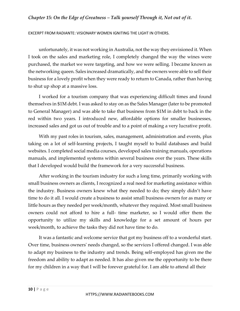EXCERPT FROM RADIANTE: VISIONARY WOMEN IGNITING THE LIGHT IN OTHERS.

unfortunately, it was not working in Australia, not the way they envisioned it. When I took on the sales and marketing role, I completely changed the way the wines were purchased, the market we were targeting, and how we were selling. I became known as the networking queen. Sales increased dramatically, and the owners were able to sell their business for a lovely profit when they were ready to return to Canada, rather than having to shut up shop at a massive loss.

I worked for a tourism company that was experiencing difficult times and found themselves in \$1M debt. I was asked to stay on as the Sales Manager (later to be promoted to General Manager) and was able to take that business from \$1M in debt to back in the red within two years. I introduced new, affordable options for smaller businesses, increased sales and got us out of trouble and to a point of making a very lucrative profit.

With my past roles in tourism, sales, management, administration and events, plus taking on a lot of self-learning projects, I taught myself to build databases and build websites. I completed social media courses, developed sales training manuals, operations manuals, and implemented systems within several business over the years. These skills that I developed would build the framework for a very successful business.

After working in the tourism industry for such a long time, primarily working with small business owners as clients, I recognized a real need for marketing assistance within the industry. Business owners knew what they needed to do; they simply didn't have time to do it all. I would create a business to assist small business owners for as many or little hours as they needed per week/month, whatever they required. Most small business owners could not afford to hire a full- time marketer, so I would offer them the opportunity to utilize my skills and knowledge for a set amount of hours per week/month, to achieve the tasks they did not have time to do.

It was a fantastic and welcome service that got my business off to a wonderful start. Over time, business owners' needs changed, so the services I offered changed. I was able to adapt my business to the industry and trends. Being self-employed has given me the freedom and ability to adapt as needed. It has also given me the opportunity to be there for my children in a way that I will be forever grateful for. I am able to attend all their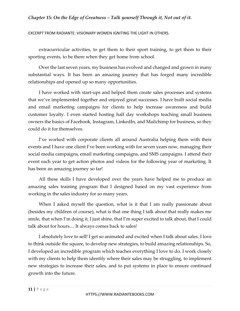EXCERPT FROM RADIANTE: VISIONARY WOMEN IGNITING THE LIGHT IN OTHERS.

extracurricular activities, to get them to their sport training, to get them to their sporting events, to be there when they get home from school.

Over the last seven years, my business has evolved and changed and grown in many substantial ways. It has been an amazing journey that has forged many incredible relationships and opened up so many opportunities.

I have worked with start-ups and helped them create sales processes and systems that we've implemented together and enjoyed great successes. I have built social media and email marketing campaigns for clients to help increase awareness and build customer loyalty. I even started hosting half day workshops teaching small business owners the basics of Facebook, Instagram, LinkedIn, and Mailchimp for business, so they could do it for themselves.

I've worked with corporate clients all around Australia helping them with their events and I have one client I've been working with for seven years now, managing their social media campaigns, email marketing campaigns, and SMS campaigns. I attend their event each year to get action photos and videos for the following year of marketing. It has been an amazing journey so far!

All these skills I have developed over the years have helped me to produce an amazing sales training program that I designed based on my vast experience from working in the sales industry for so many years.

When I asked myself the question, what is it that I am really passionate about (besides my children of course), what is that one thing I talk about that really makes me smile, that when I'm doing it, I just shine, that I'm super excited to talk about, that I could talk about for hours… It always comes back to sales!

I absolutely love to sell! I get so animated and excited when I talk about sales. I love to think outside the square, to develop new strategies, to build amazing relationships. So, I developed an incredible program which teaches everything I love to do. I work closely with my clients to help them identify where their sales may be struggling, to implement new strategies to increase their sales, and to put systems in place to ensure continued growth into the future.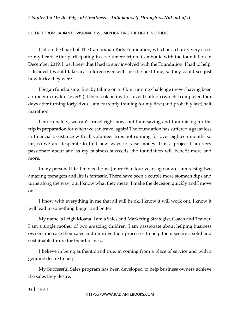EXCERPT FROM RADIANTE: VISIONARY WOMEN IGNITING THE LIGHT IN OTHERS.

I sit on the board of The Cambodian Kids Foundation, which is a charity very close to my heart. After participating in a volunteer trip to Cambodia with the foundation in December 2019, I just knew that I had to stay involved with the Foundation. I had to help. I decided I would take my children over with me the next time, so they could see just how lucky they were.

I began fundraising, first by taking on a 10km running challenge (never having been a runner in my life!! ever!!!). I then took on my first ever triathlon (which I completed four days after turning forty-five). I am currently training for my first (and probably last) half marathon.

Unfortunately, we can't travel right now, but I am saving and fundraising for the trip in preparation for when we can travel again! The foundation has suffered a great loss in financial assistance with all volunteer trips not running for over eighteen months so far, so we are desperate to find new ways to raise money. It is a project I am very passionate about and as my business succeeds, the foundation will benefit more and more.

In my personal life, I moved home (more than four years ago now). I am raising two amazing teenagers and life is fantastic. There have been a couple more stomach flips and turns along the way, but I know what they mean. I make the decision quickly and I move on.

I know with everything in me that all will be ok. I know it will work out. I know it will lead to something bigger and better.

My name is Leigh Moana. I am a Sales and Marketing Strategist, Coach and Trainer. I am a single mother of two amazing children. I am passionate about helping business owners increase their sales and improve their processes to help them secure a solid and sustainable future for their business.

I believe in being authentic and true, in coming from a place of service and with a genuine desire to help.

My Successful Sales program has been developed to help business owners achieve the sales they desire.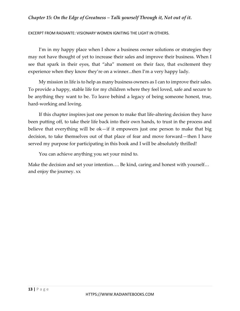EXCERPT FROM RADIANTE: VISIONARY WOMEN IGNITING THE LIGHT IN OTHERS.

I'm in my happy place when I show a business owner solutions or strategies they may not have thought of yet to increase their sales and improve their business. When I see that spark in their eyes, that "aha" moment on their face, that excitement they experience when they know they're on a winner...then I'm a very happy lady.

My mission in life is to help as many business owners as I can to improve their sales. To provide a happy, stable life for my children where they feel loved, safe and secure to be anything they want to be. To leave behind a legacy of being someone honest, true, hard-working and loving.

If this chapter inspires just one person to make that life-altering decision they have been putting off, to take their life back into their own hands, to trust in the process and believe that everything will be ok—if it empowers just one person to make that big decision, to take themselves out of that place of fear and move forward—then I have served my purpose for participating in this book and I will be absolutely thrilled!

You can achieve anything you set your mind to.

Make the decision and set your intention…. Be kind, caring and honest with yourself… and enjoy the journey. xx